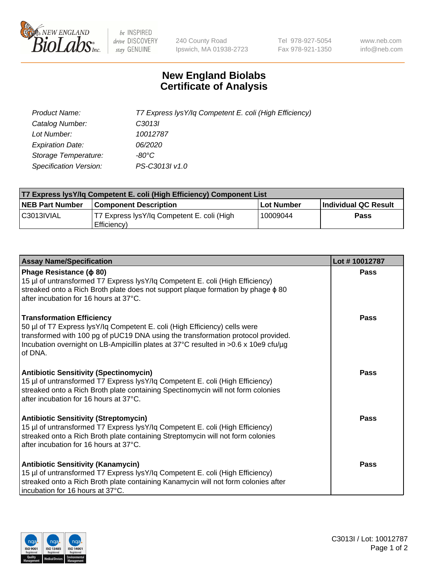

 $be$  INSPIRED drive DISCOVERY stay GENUINE

240 County Road Ipswich, MA 01938-2723 Tel 978-927-5054 Fax 978-921-1350 www.neb.com info@neb.com

## **New England Biolabs Certificate of Analysis**

| Product Name:           | T7 Express lysY/lq Competent E. coli (High Efficiency) |
|-------------------------|--------------------------------------------------------|
| Catalog Number:         | C <sub>3013</sub>                                      |
| Lot Number:             | 10012787                                               |
| <b>Expiration Date:</b> | 06/2020                                                |
| Storage Temperature:    | -80°C                                                  |
| Specification Version:  | PS-C3013I v1.0                                         |

| T7 Express lysY/lq Competent E. coli (High Efficiency) Component List |                                                           |            |                      |  |
|-----------------------------------------------------------------------|-----------------------------------------------------------|------------|----------------------|--|
| <b>NEB Part Number</b>                                                | <b>Component Description</b>                              | Lot Number | Individual QC Result |  |
| C3013IVIAL                                                            | T7 Express lysY/lg Competent E. coli (High<br>Efficiency) | 10009044   | Pass                 |  |

| <b>Assay Name/Specification</b>                                                                                                                                                                                                                                                                      | Lot #10012787 |
|------------------------------------------------------------------------------------------------------------------------------------------------------------------------------------------------------------------------------------------------------------------------------------------------------|---------------|
| Phage Resistance ( $\phi$ 80)<br>15 µl of untransformed T7 Express lysY/lq Competent E. coli (High Efficiency)<br>streaked onto a Rich Broth plate does not support plaque formation by phage $\phi$ 80<br>after incubation for 16 hours at 37°C.                                                    | Pass          |
| <b>Transformation Efficiency</b><br>50 µl of T7 Express lysY/lq Competent E. coli (High Efficiency) cells were<br>transformed with 100 pg of pUC19 DNA using the transformation protocol provided.<br>Incubation overnight on LB-Ampicillin plates at 37°C resulted in >0.6 x 10e9 cfu/µg<br>of DNA. | Pass          |
| <b>Antibiotic Sensitivity (Spectinomycin)</b><br>15 µl of untransformed T7 Express lysY/lq Competent E. coli (High Efficiency)<br>streaked onto a Rich Broth plate containing Spectinomycin will not form colonies<br>after incubation for 16 hours at 37°C.                                         | Pass          |
| <b>Antibiotic Sensitivity (Streptomycin)</b><br>15 µl of untransformed T7 Express lysY/lq Competent E. coli (High Efficiency)<br>streaked onto a Rich Broth plate containing Streptomycin will not form colonies<br>after incubation for 16 hours at 37°C.                                           | <b>Pass</b>   |
| <b>Antibiotic Sensitivity (Kanamycin)</b><br>15 µl of untransformed T7 Express lysY/lq Competent E. coli (High Efficiency)<br>streaked onto a Rich Broth plate containing Kanamycin will not form colonies after<br>incubation for 16 hours at 37°C.                                                 | Pass          |